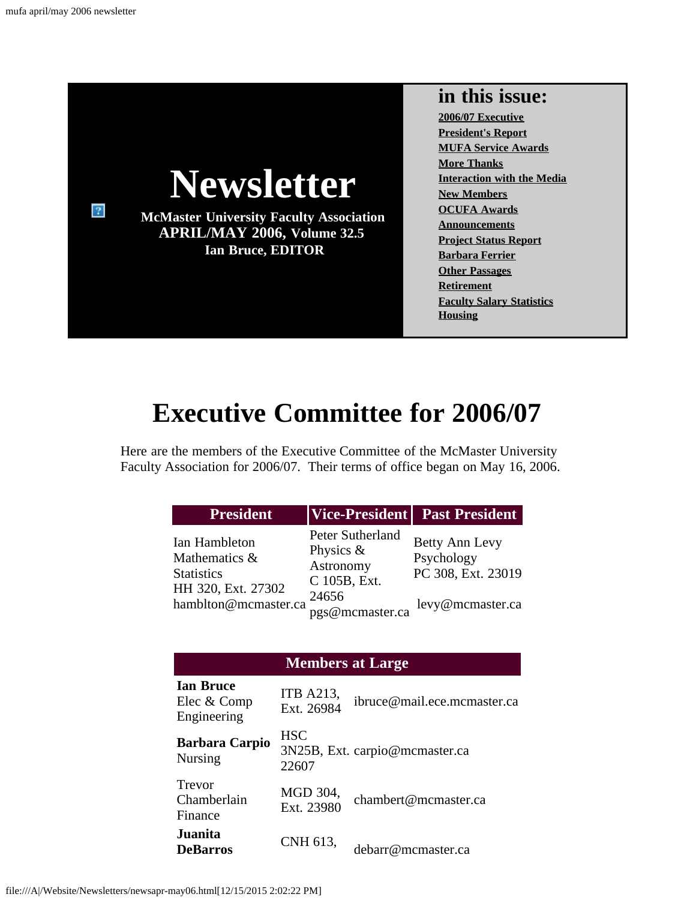

# **Executive Committee for 2006/07**

<span id="page-0-0"></span>Here are the members of the Executive Committee of the McMaster University Faculty Association for 2006/07. Their terms of office began on May 16, 2006.

| <b>President</b>                                                                                  |                                                                                           | Vice-President   Past President                                        |
|---------------------------------------------------------------------------------------------------|-------------------------------------------------------------------------------------------|------------------------------------------------------------------------|
| Ian Hambleton<br>Mathematics &<br><b>Statistics</b><br>HH 320, Ext. 27302<br>hamblton@mcmaster.ca | Peter Sutherland<br>Physics $\&$<br>Astronomy<br>C 105B, Ext.<br>24656<br>pgs@mcmaster.ca | Betty Ann Levy<br>Psychology<br>PC 308, Ext. 23019<br>levy@mcmaster.ca |

### **Members at Large**

| <b>Ian Bruce</b><br>Elec & Comp<br>Engineering | <b>ITB A213,</b><br>Ext. 26984 | ibruce@mail.ece.mcmaster.ca    |
|------------------------------------------------|--------------------------------|--------------------------------|
| <b>Barbara Carpio</b><br><b>Nursing</b>        | <b>HSC</b><br>22607            | 3N25B, Ext. carpio@mcmaster.ca |
| Trevor<br>Chamberlain<br>Finance               | MGD 304,<br>Ext. 23980         | chambert@mcmaster.ca           |
| Juanita<br><b>DeBarros</b>                     | CNH 613,                       | debarr@mcmaster.ca             |

file:///A|/Website/Newsletters/newsapr-may06.html[12/15/2015 2:02:22 PM]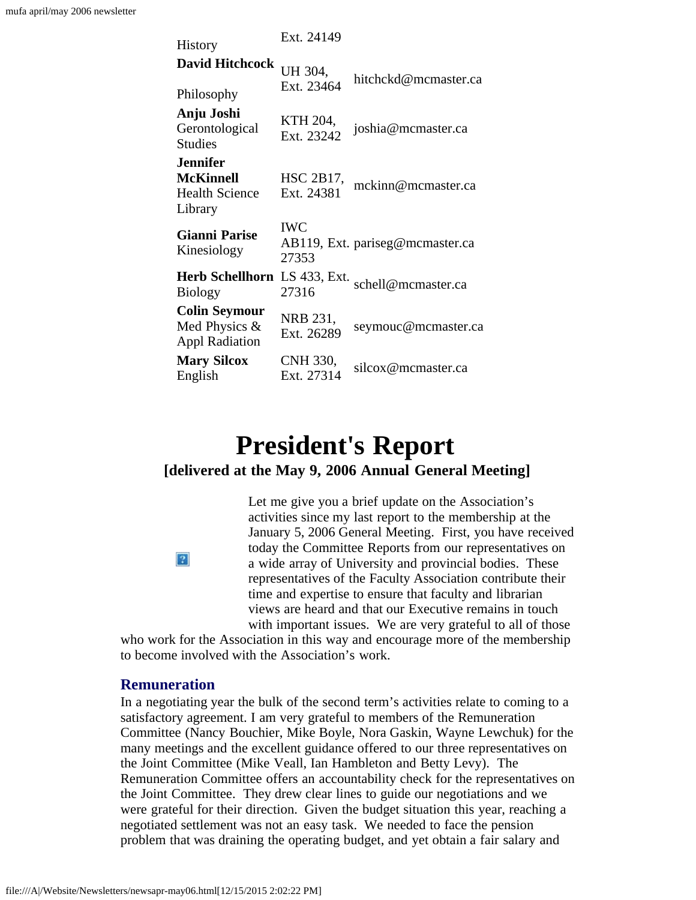| <b>History</b>                                                          | Ext. 24149              |                                 |  |  |
|-------------------------------------------------------------------------|-------------------------|---------------------------------|--|--|
| <b>David Hitchcock</b>                                                  | UH 304,<br>Ext. 23464   | hitchckd@mcmaster.ca            |  |  |
| Philosophy                                                              |                         |                                 |  |  |
| Anju Joshi<br>Gerontological<br><b>Studies</b>                          | KTH 204,<br>Ext. 23242  | joshia@mcmaster.ca              |  |  |
| <b>Jennifer</b><br><b>McKinnell</b><br><b>Health Science</b><br>Library | HSC 2B17,<br>Ext. 24381 | mckinn@mcmaster.ca              |  |  |
| <b>Gianni Parise</b><br>Kinesiology                                     | <b>IWC</b><br>27353     | AB119, Ext. pariseg@mcmaster.ca |  |  |
| <b>Herb Schellhorn</b><br><b>Biology</b>                                | LS 433, Ext.<br>27316   | schell@mcmaster.ca              |  |  |
| <b>Colin Seymour</b><br>Med Physics $\&$<br><b>Appl Radiation</b>       | NRB 231,<br>Ext. 26289  | seymouc@mcmaster.ca             |  |  |
| <b>Mary Silcox</b><br>English                                           | CNH 330,<br>Ext. 27314  | silcox@mcmaster.ca              |  |  |

# **President's Report**

### <span id="page-1-0"></span>**[delivered at the May 9, 2006 Annual General Meeting]**

Let me give you a brief update on the Association's activities since my last report to the membership at the January 5, 2006 General Meeting. First, you have received today the Committee Reports from our representatives on a wide array of University and provincial bodies. These representatives of the Faculty Association contribute their time and expertise to ensure that faculty and librarian views are heard and that our Executive remains in touch with important issues. We are very grateful to all of those

who work for the Association in this way and encourage more of the membership to become involved with the Association's work.

### **Remuneration**

 $|2|$ 

In a negotiating year the bulk of the second term's activities relate to coming to a satisfactory agreement. I am very grateful to members of the Remuneration Committee (Nancy Bouchier, Mike Boyle, Nora Gaskin, Wayne Lewchuk) for the many meetings and the excellent guidance offered to our three representatives on the Joint Committee (Mike Veall, Ian Hambleton and Betty Levy). The Remuneration Committee offers an accountability check for the representatives on the Joint Committee. They drew clear lines to guide our negotiations and we were grateful for their direction. Given the budget situation this year, reaching a negotiated settlement was not an easy task. We needed to face the pension problem that was draining the operating budget, and yet obtain a fair salary and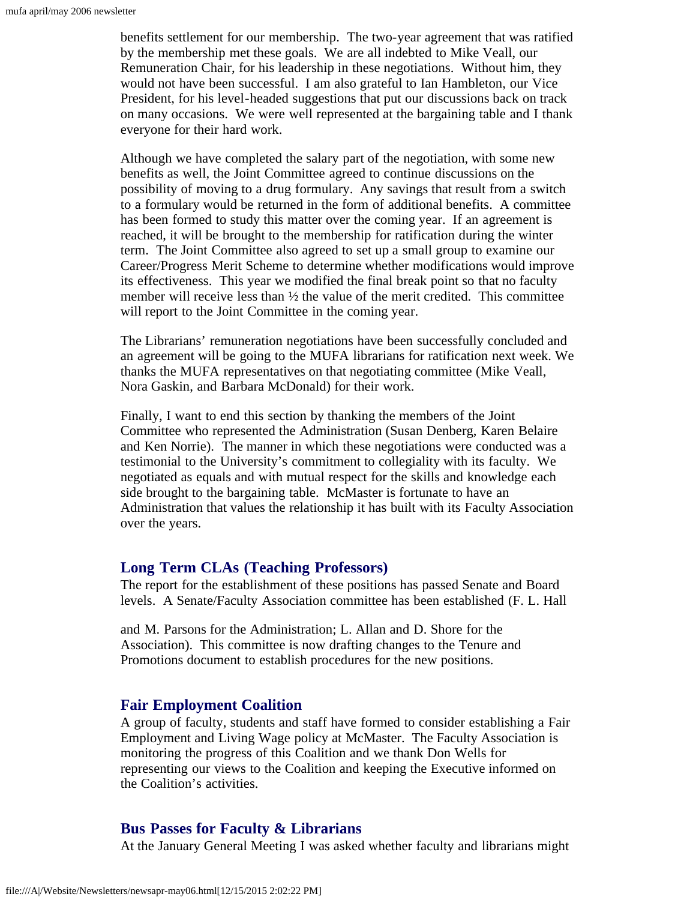benefits settlement for our membership. The two-year agreement that was ratified by the membership met these goals. We are all indebted to Mike Veall, our Remuneration Chair, for his leadership in these negotiations. Without him, they would not have been successful. I am also grateful to Ian Hambleton, our Vice President, for his level-headed suggestions that put our discussions back on track on many occasions. We were well represented at the bargaining table and I thank everyone for their hard work.

Although we have completed the salary part of the negotiation, with some new benefits as well, the Joint Committee agreed to continue discussions on the possibility of moving to a drug formulary. Any savings that result from a switch to a formulary would be returned in the form of additional benefits. A committee has been formed to study this matter over the coming year. If an agreement is reached, it will be brought to the membership for ratification during the winter term. The Joint Committee also agreed to set up a small group to examine our Career/Progress Merit Scheme to determine whether modifications would improve its effectiveness. This year we modified the final break point so that no faculty member will receive less than  $\frac{1}{2}$  the value of the merit credited. This committee will report to the Joint Committee in the coming year.

The Librarians' remuneration negotiations have been successfully concluded and an agreement will be going to the MUFA librarians for ratification next week. We thanks the MUFA representatives on that negotiating committee (Mike Veall, Nora Gaskin, and Barbara McDonald) for their work.

Finally, I want to end this section by thanking the members of the Joint Committee who represented the Administration (Susan Denberg, Karen Belaire and Ken Norrie). The manner in which these negotiations were conducted was a testimonial to the University's commitment to collegiality with its faculty. We negotiated as equals and with mutual respect for the skills and knowledge each side brought to the bargaining table. McMaster is fortunate to have an Administration that values the relationship it has built with its Faculty Association over the years.

### **Long Term CLAs (Teaching Professors)**

The report for the establishment of these positions has passed Senate and Board levels. A Senate/Faculty Association committee has been established (F. L. Hall

and M. Parsons for the Administration; L. Allan and D. Shore for the Association). This committee is now drafting changes to the Tenure and Promotions document to establish procedures for the new positions.

### **Fair Employment Coalition**

A group of faculty, students and staff have formed to consider establishing a Fair Employment and Living Wage policy at McMaster. The Faculty Association is monitoring the progress of this Coalition and we thank Don Wells for representing our views to the Coalition and keeping the Executive informed on the Coalition's activities.

### **Bus Passes for Faculty & Librarians**

At the January General Meeting I was asked whether faculty and librarians might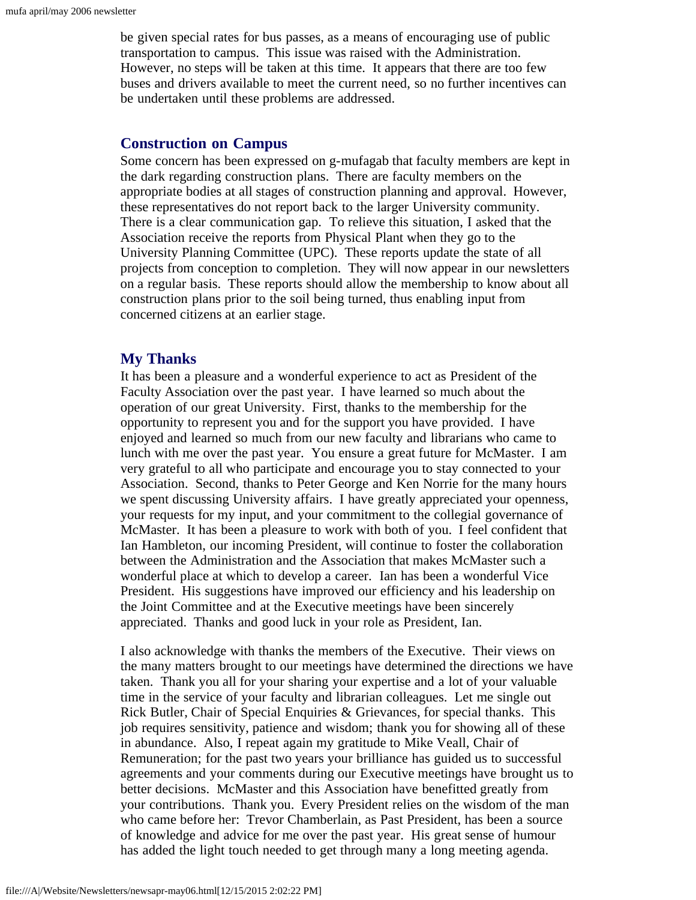be given special rates for bus passes, as a means of encouraging use of public transportation to campus. This issue was raised with the Administration. However, no steps will be taken at this time. It appears that there are too few buses and drivers available to meet the current need, so no further incentives can be undertaken until these problems are addressed.

### **Construction on Campus**

Some concern has been expressed on g-mufagab that faculty members are kept in the dark regarding construction plans. There are faculty members on the appropriate bodies at all stages of construction planning and approval. However, these representatives do not report back to the larger University community. There is a clear communication gap. To relieve this situation, I asked that the Association receive the reports from Physical Plant when they go to the University Planning Committee (UPC). These reports update the state of all projects from conception to completion. They will now appear in our newsletters on a regular basis. These reports should allow the membership to know about all construction plans prior to the soil being turned, thus enabling input from concerned citizens at an earlier stage.

### **My Thanks**

It has been a pleasure and a wonderful experience to act as President of the Faculty Association over the past year. I have learned so much about the operation of our great University. First, thanks to the membership for the opportunity to represent you and for the support you have provided. I have enjoyed and learned so much from our new faculty and librarians who came to lunch with me over the past year. You ensure a great future for McMaster. I am very grateful to all who participate and encourage you to stay connected to your Association. Second, thanks to Peter George and Ken Norrie for the many hours we spent discussing University affairs. I have greatly appreciated your openness, your requests for my input, and your commitment to the collegial governance of McMaster. It has been a pleasure to work with both of you. I feel confident that Ian Hambleton, our incoming President, will continue to foster the collaboration between the Administration and the Association that makes McMaster such a wonderful place at which to develop a career. Ian has been a wonderful Vice President. His suggestions have improved our efficiency and his leadership on the Joint Committee and at the Executive meetings have been sincerely appreciated. Thanks and good luck in your role as President, Ian.

I also acknowledge with thanks the members of the Executive. Their views on the many matters brought to our meetings have determined the directions we have taken. Thank you all for your sharing your expertise and a lot of your valuable time in the service of your faculty and librarian colleagues. Let me single out Rick Butler, Chair of Special Enquiries & Grievances, for special thanks. This job requires sensitivity, patience and wisdom; thank you for showing all of these in abundance. Also, I repeat again my gratitude to Mike Veall, Chair of Remuneration; for the past two years your brilliance has guided us to successful agreements and your comments during our Executive meetings have brought us to better decisions. McMaster and this Association have benefitted greatly from your contributions. Thank you. Every President relies on the wisdom of the man who came before her: Trevor Chamberlain, as Past President, has been a source of knowledge and advice for me over the past year. His great sense of humour has added the light touch needed to get through many a long meeting agenda.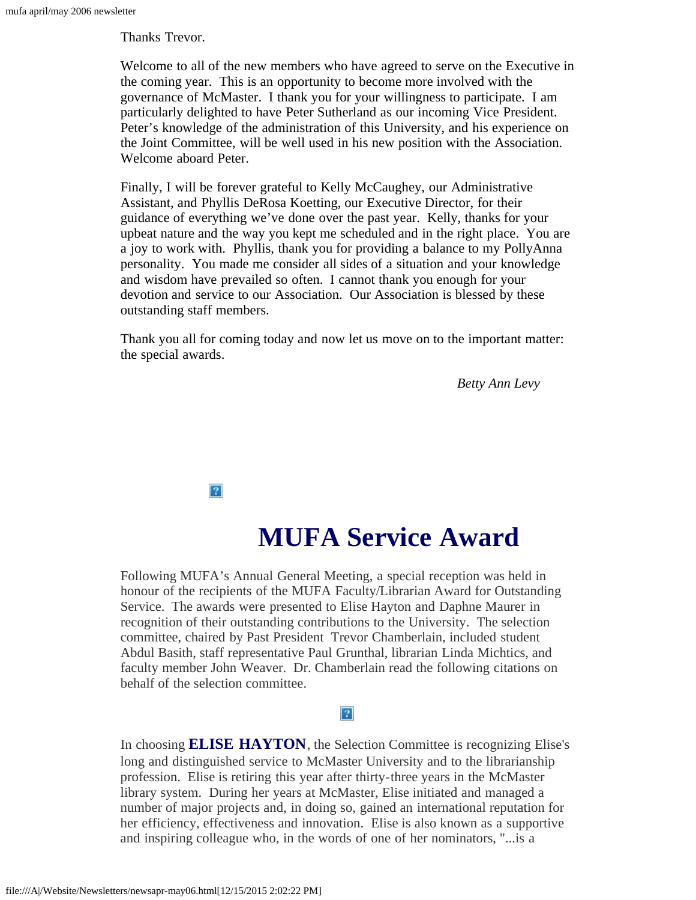Thanks Trevor.

Welcome to all of the new members who have agreed to serve on the Executive in the coming year. This is an opportunity to become more involved with the governance of McMaster. I thank you for your willingness to participate. I am particularly delighted to have Peter Sutherland as our incoming Vice President. Peter's knowledge of the administration of this University, and his experience on the Joint Committee, will be well used in his new position with the Association. Welcome aboard Peter.

Finally, I will be forever grateful to Kelly McCaughey, our Administrative Assistant, and Phyllis DeRosa Koetting, our Executive Director, for their guidance of everything we've done over the past year. Kelly, thanks for your upbeat nature and the way you kept me scheduled and in the right place. You are a joy to work with. Phyllis, thank you for providing a balance to my PollyAnna personality. You made me consider all sides of a situation and your knowledge and wisdom have prevailed so often. I cannot thank you enough for your devotion and service to our Association. Our Association is blessed by these outstanding staff members.

Thank you all for coming today and now let us move on to the important matter: the special awards.

*Betty Ann Levy*

 $|2\rangle$ 

## **MUFA Service Award**

<span id="page-4-0"></span>Following MUFA's Annual General Meeting, a special reception was held in honour of the recipients of the MUFA Faculty/Librarian Award for Outstanding Service. The awards were presented to Elise Hayton and Daphne Maurer in recognition of their outstanding contributions to the University. The selection committee, chaired by Past President Trevor Chamberlain, included student Abdul Basith, staff representative Paul Grunthal, librarian Linda Michtics, and faculty member John Weaver. Dr. Chamberlain read the following citations on behalf of the selection committee.

#### $\overline{?}$

In choosing **ELISE HAYTON**, the Selection Committee is recognizing Elise's long and distinguished service to McMaster University and to the librarianship profession. Elise is retiring this year after thirty-three years in the McMaster library system. During her years at McMaster, Elise initiated and managed a number of major projects and, in doing so, gained an international reputation for her efficiency, effectiveness and innovation. Elise is also known as a supportive and inspiring colleague who, in the words of one of her nominators, "...is a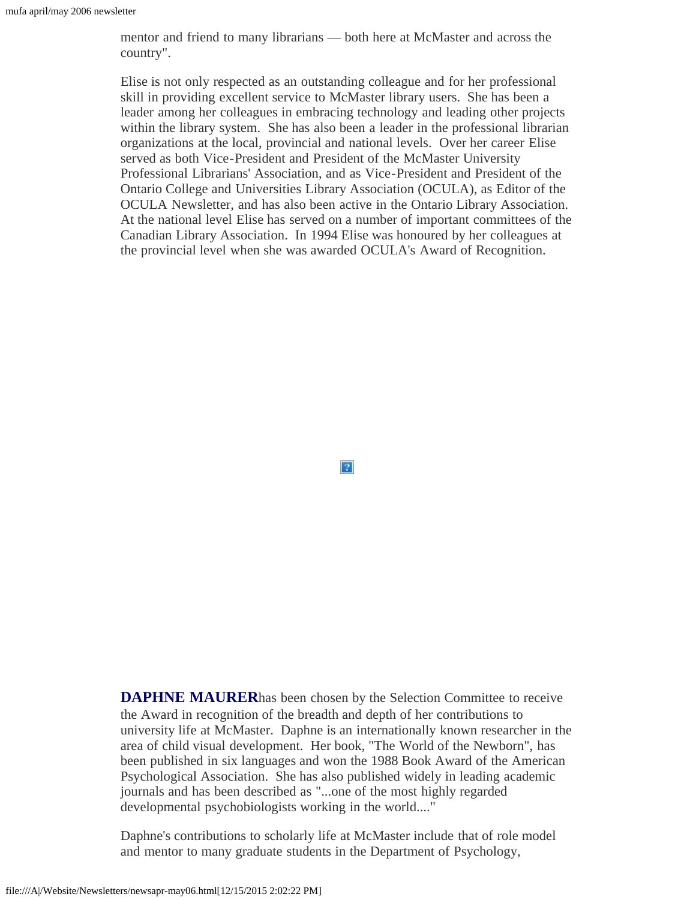mentor and friend to many librarians — both here at McMaster and across the country".

Elise is not only respected as an outstanding colleague and for her professional skill in providing excellent service to McMaster library users. She has been a leader among her colleagues in embracing technology and leading other projects within the library system. She has also been a leader in the professional librarian organizations at the local, provincial and national levels. Over her career Elise served as both Vice-President and President of the McMaster University Professional Librarians' Association, and as Vice-President and President of the Ontario College and Universities Library Association (OCULA), as Editor of the OCULA Newsletter, and has also been active in the Ontario Library Association. At the national level Elise has served on a number of important committees of the Canadian Library Association. In 1994 Elise was honoured by her colleagues at the provincial level when she was awarded OCULA's Award of Recognition.

 $|2\rangle$ 

**DAPHNE MAURER**has been chosen by the Selection Committee to receive the Award in recognition of the breadth and depth of her contributions to university life at McMaster. Daphne is an internationally known researcher in the area of child visual development. Her book, "The World of the Newborn", has been published in six languages and won the 1988 Book Award of the American Psychological Association. She has also published widely in leading academic journals and has been described as "...one of the most highly regarded developmental psychobiologists working in the world...."

Daphne's contributions to scholarly life at McMaster include that of role model and mentor to many graduate students in the Department of Psychology,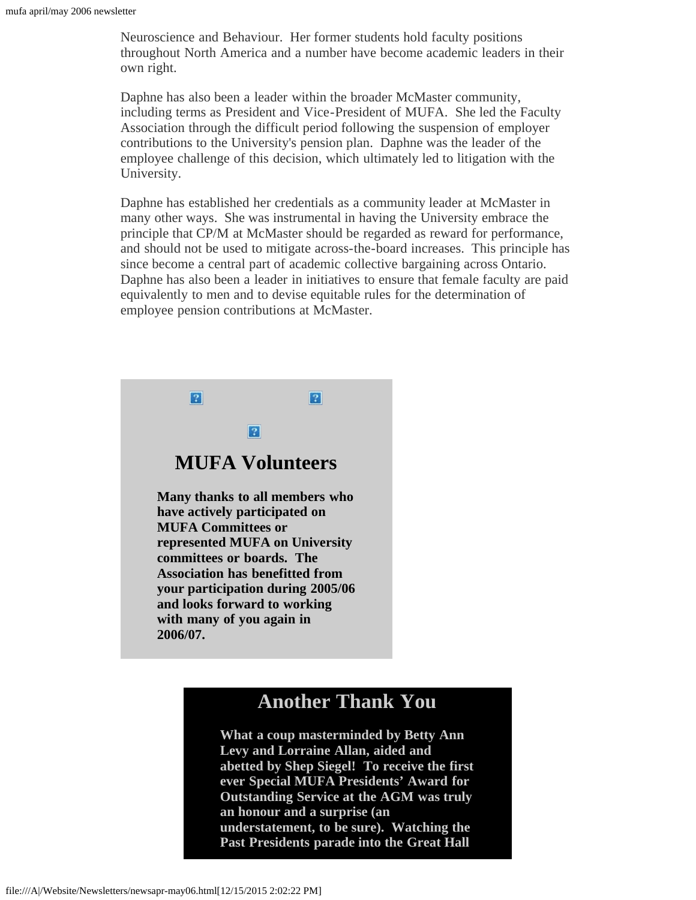Neuroscience and Behaviour. Her former students hold faculty positions throughout North America and a number have become academic leaders in their own right.

Daphne has also been a leader within the broader McMaster community, including terms as President and Vice-President of MUFA. She led the Faculty Association through the difficult period following the suspension of employer contributions to the University's pension plan. Daphne was the leader of the employee challenge of this decision, which ultimately led to litigation with the University.

Daphne has established her credentials as a community leader at McMaster in many other ways. She was instrumental in having the University embrace the principle that CP/M at McMaster should be regarded as reward for performance, and should not be used to mitigate across-the-board increases. This principle has since become a central part of academic collective bargaining across Ontario. Daphne has also been a leader in initiatives to ensure that female faculty are paid equivalently to men and to devise equitable rules for the determination of employee pension contributions at McMaster.

<span id="page-6-0"></span>

### **Another Thank You**

**What a coup masterminded by Betty Ann Levy and Lorraine Allan, aided and abetted by Shep Siegel! To receive the first ever Special MUFA Presidents' Award for Outstanding Service at the AGM was truly an honour and a surprise (an understatement, to be sure). Watching the Past Presidents parade into the Great Hall**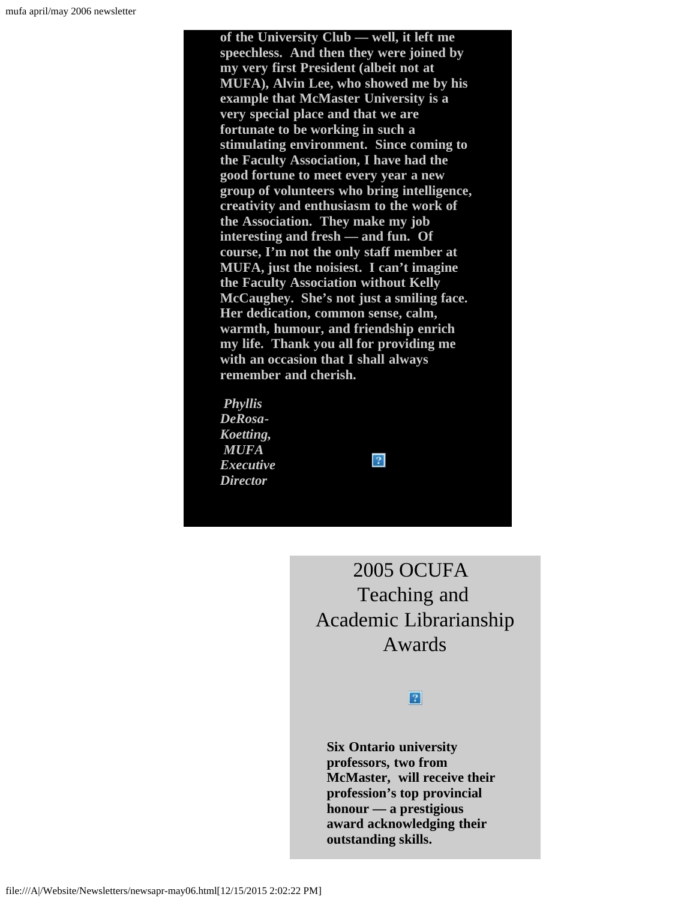**of the University Club — well, it left me speechless. And then they were joined by my very first President (albeit not at MUFA), Alvin Lee, who showed me by his example that McMaster University is a very special place and that we are fortunate to be working in such a stimulating environment. Since coming to the Faculty Association, I have had the good fortune to meet every year a new group of volunteers who bring intelligence, creativity and enthusiasm to the work of the Association. They make my job interesting and fresh — and fun. Of course, I'm not the only staff member at MUFA, just the noisiest. I can't imagine the Faculty Association without Kelly McCaughey. She's not just a smiling face. Her dedication, common sense, calm, warmth, humour, and friendship enrich my life. Thank you all for providing me with an occasion that I shall always remember and cherish.**

<span id="page-7-0"></span>*Phyllis DeRosa-Koetting, MUFA Executive Director*



2005 OCUFA Teaching and Academic Librarianship Awards

### $|2|$

**Six Ontario university professors, two from McMaster, will receive their profession's top provincial honour — a prestigious award acknowledging their outstanding skills.**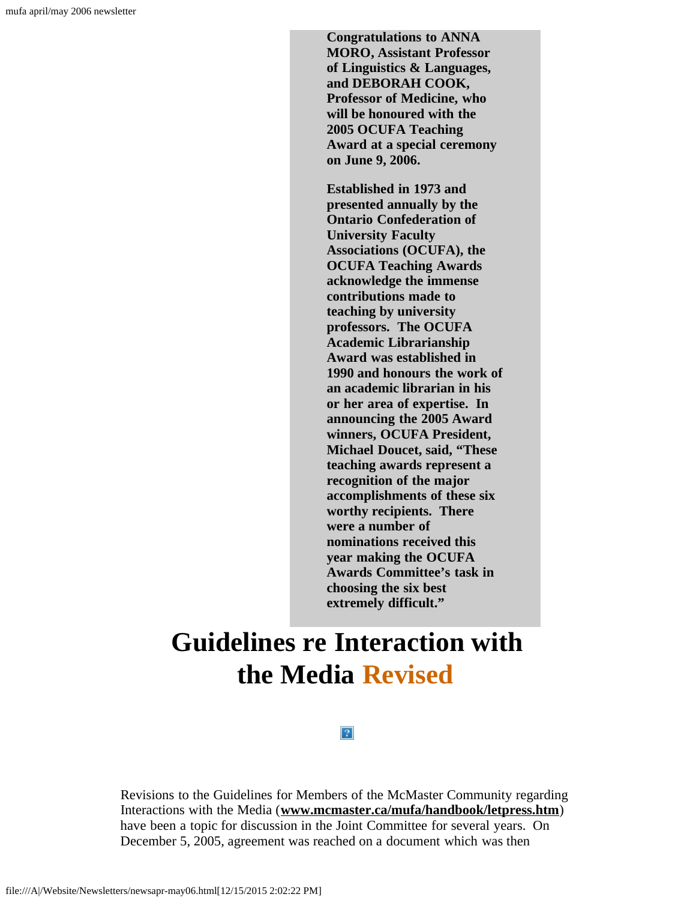**Congratulations to ANNA MORO, Assistant Professor of Linguistics & Languages, and DEBORAH COOK, Professor of Medicine, who will be honoured with the 2005 OCUFA Teaching Award at a special ceremony on June 9, 2006.**

**Established in 1973 and presented annually by the Ontario Confederation of University Faculty Associations (OCUFA), the OCUFA Teaching Awards acknowledge the immense contributions made to teaching by university professors. The OCUFA Academic Librarianship Award was established in 1990 and honours the work of an academic librarian in his or her area of expertise. In announcing the 2005 Award winners, OCUFA President, Michael Doucet, said, "These teaching awards represent a recognition of the major accomplishments of these six worthy recipients. There were a number of nominations received this year making the OCUFA Awards Committee's task in choosing the six best extremely difficult."**

# <span id="page-8-0"></span>**Guidelines re Interaction with the Media Revised**

#### $|2|$

Revisions to the Guidelines for Members of the McMaster Community regarding Interactions with the Media (**[www.mcmaster.ca/mufa/handbook/letpress.htm](file:///A|/Website/Newsletters/www.mcmaster.ca/mufa/handbook/letpress.htm)**) have been a topic for discussion in the Joint Committee for several years. On December 5, 2005, agreement was reached on a document which was then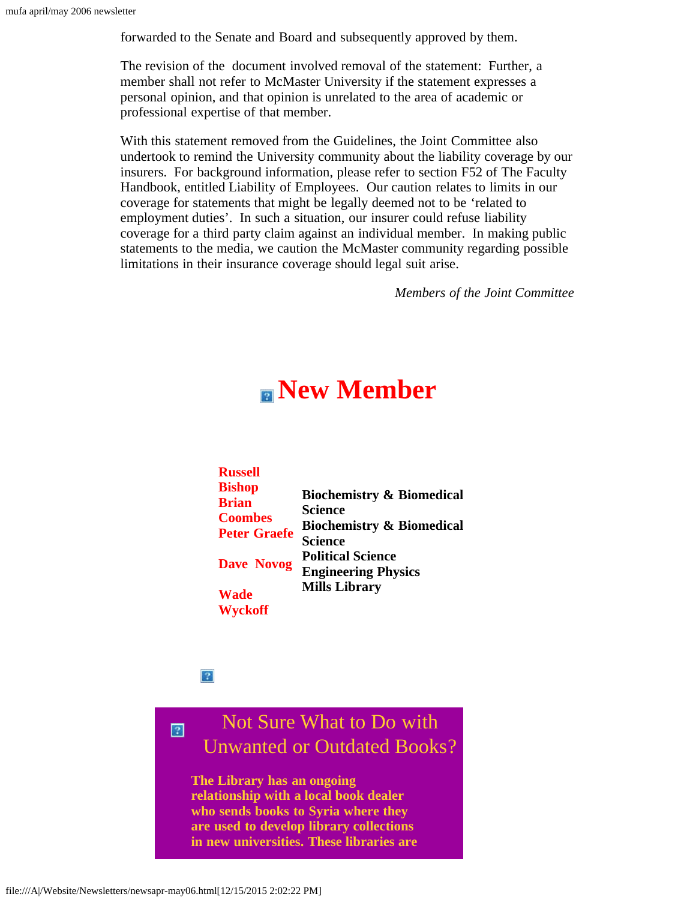forwarded to the Senate and Board and subsequently approved by them.

The revision of the document involved removal of the statement: Further, a member shall not refer to McMaster University if the statement expresses a personal opinion, and that opinion is unrelated to the area of academic or professional expertise of that member.

With this statement removed from the Guidelines, the Joint Committee also undertook to remind the University community about the liability coverage by our insurers. For background information, please refer to section F52 of The Faculty Handbook, entitled Liability of Employees. Our caution relates to limits in our coverage for statements that might be legally deemed not to be 'related to employment duties'. In such a situation, our insurer could refuse liability coverage for a third party claim against an individual member. In making public statements to the media, we caution the McMaster community regarding possible limitations in their insurance coverage should legal suit arise.

*Members of the Joint Committee*

## **New Member**

<span id="page-9-0"></span>

| <b>Russell</b>      |                                      |
|---------------------|--------------------------------------|
| <b>Bishop</b>       |                                      |
| <b>Brian</b>        | <b>Biochemistry &amp; Biomedical</b> |
| <b>Coombes</b>      | <b>Science</b>                       |
| <b>Peter Graefe</b> | <b>Biochemistry &amp; Biomedical</b> |
|                     | <b>Science</b>                       |
| <b>Dave Novog</b>   | <b>Political Science</b>             |
|                     | <b>Engineering Physics</b>           |
| <b>Wade</b>         | <b>Mills Library</b>                 |
| <b>Wyckoff</b>      |                                      |

 $\overline{?}$ 

<span id="page-9-1"></span> $\boxed{2}$ 

### Not Sure What to Do with Unwanted or Outdated Books?

**The Library has an ongoing relationship with a local book dealer who sends books to Syria where they are used to develop library collections in new universities. These libraries are**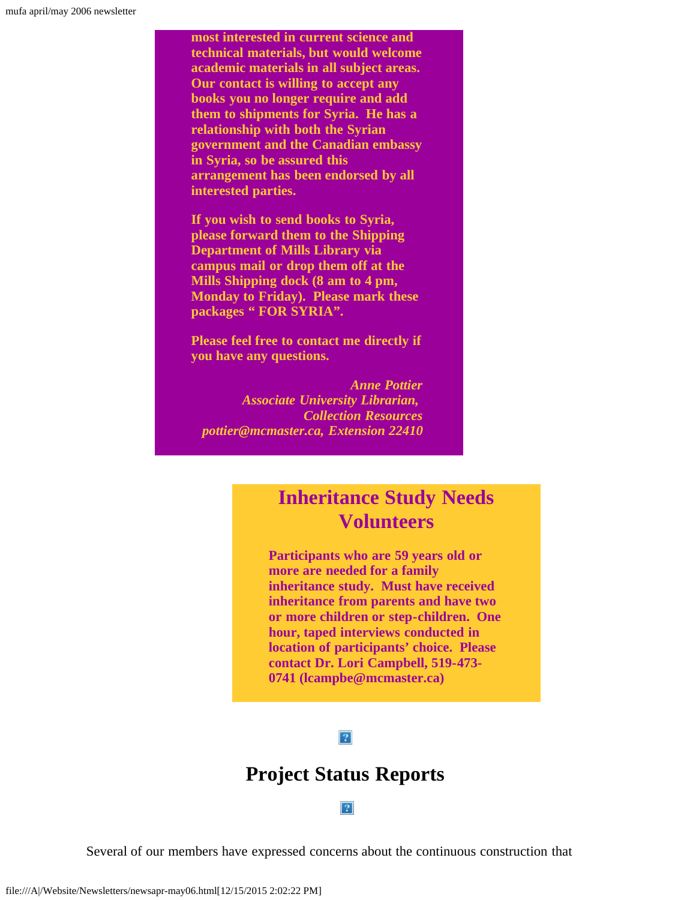**most interested in current science and technical materials, but would welcome academic materials in all subject areas. Our contact is willing to accept any books you no longer require and add them to shipments for Syria. He has a relationship with both the Syrian government and the Canadian embassy in Syria, so be assured this arrangement has been endorsed by all interested parties.**

**If you wish to send books to Syria, please forward them to the Shipping Department of Mills Library via campus mail or drop them off at the Mills Shipping dock (8 am to 4 pm, Monday to Friday). Please mark these packages " FOR SYRIA".**

**Please feel free to contact me directly if you have any questions.**

*Anne Pottier Associate University Librarian, Collection Resources pottier@mcmaster.ca, Extension 22410*

### **Inheritance Study Needs Volunteers**

**Participants who are 59 years old or more are needed for a family inheritance study. Must have received inheritance from parents and have two or more children or step-children. One hour, taped interviews conducted in location of participants' choice. Please contact Dr. Lori Campbell, 519-473- 0741 (lcampbe@mcmaster.ca)**

#### $\overline{?}$

### **Project Status Reports**

#### $|2|$

<span id="page-10-0"></span>Several of our members have expressed concerns about the continuous construction that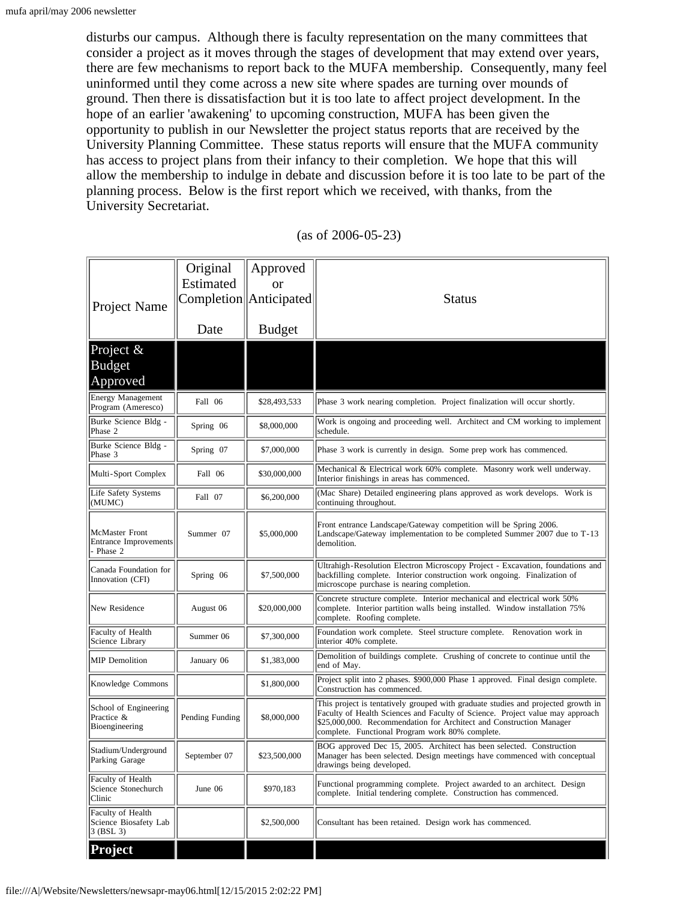disturbs our campus. Although there is faculty representation on the many committees that consider a project as it moves through the stages of development that may extend over years, there are few mechanisms to report back to the MUFA membership. Consequently, many feel uninformed until they come across a new site where spades are turning over mounds of ground. Then there is dissatisfaction but it is too late to affect project development. In the hope of an earlier 'awakening' to upcoming construction, MUFA has been given the opportunity to publish in our Newsletter the project status reports that are received by the University Planning Committee. These status reports will ensure that the MUFA community has access to project plans from their infancy to their completion. We hope that this will allow the membership to indulge in debate and discussion before it is too late to be part of the planning process. Below is the first report which we received, with thanks, from the University Secretariat.

| Project Name                                              | Original<br>Estimated | Approved<br><b>or</b><br>Completion   Anticipated | <b>Status</b>                                                                                                                                                                                                                                                                                |
|-----------------------------------------------------------|-----------------------|---------------------------------------------------|----------------------------------------------------------------------------------------------------------------------------------------------------------------------------------------------------------------------------------------------------------------------------------------------|
|                                                           | Date                  | <b>Budget</b>                                     |                                                                                                                                                                                                                                                                                              |
| Project &<br><b>Budget</b><br>Approved                    |                       |                                                   |                                                                                                                                                                                                                                                                                              |
| <b>Energy Management</b><br>Program (Ameresco)            | Fall 06               | \$28,493,533                                      | Phase 3 work nearing completion. Project finalization will occur shortly.                                                                                                                                                                                                                    |
| Burke Science Bldg -<br>Phase 2                           | Spring 06             | \$8,000,000                                       | Work is ongoing and proceeding well. Architect and CM working to implement<br>schedule.                                                                                                                                                                                                      |
| Burke Science Bldg -<br>Phase 3                           | Spring 07             | \$7,000,000                                       | Phase 3 work is currently in design. Some prep work has commenced.                                                                                                                                                                                                                           |
| Multi-Sport Complex                                       | Fall 06               | \$30,000,000                                      | Mechanical & Electrical work 60% complete. Masonry work well underway.<br>Interior finishings in areas has commenced.                                                                                                                                                                        |
| Life Safety Systems<br>(MUMC)                             | Fall 07               | \$6,200,000                                       | (Mac Share) Detailed engineering plans approved as work develops. Work is<br>continuing throughout.                                                                                                                                                                                          |
| McMaster Front<br><b>Entrance Improvements</b><br>Phase 2 | Summer 07             | \$5,000,000                                       | Front entrance Landscape/Gateway competition will be Spring 2006.<br>Landscape/Gateway implementation to be completed Summer 2007 due to T-13<br>demolition.                                                                                                                                 |
| Canada Foundation for<br>Innovation (CFI)                 | Spring 06             | \$7,500,000                                       | Ultrahigh-Resolution Electron Microscopy Project - Excavation, foundations and<br>backfilling complete. Interior construction work ongoing. Finalization of<br>microscope purchase is nearing completion.                                                                                    |
| New Residence                                             | August 06             | \$20,000,000                                      | Concrete structure complete. Interior mechanical and electrical work 50%<br>complete. Interior partition walls being installed. Window installation 75%<br>complete. Roofing complete.                                                                                                       |
| Faculty of Health<br>Science Library                      | Summer 06             | \$7,300,000                                       | Foundation work complete. Steel structure complete. Renovation work in<br>interior 40% complete.                                                                                                                                                                                             |
| <b>MIP</b> Demolition                                     | January 06            | \$1,383,000                                       | Demolition of buildings complete. Crushing of concrete to continue until the<br>end of May.                                                                                                                                                                                                  |
| Knowledge Commons                                         |                       | \$1,800,000                                       | Project split into 2 phases. \$900,000 Phase 1 approved. Final design complete.<br>Construction has commenced.                                                                                                                                                                               |
| School of Engineering<br>Practice &<br>Bioengineering     | Pending Funding       | \$8,000,000                                       | This project is tentatively grouped with graduate studies and projected growth in<br>Faculty of Health Sciences and Faculty of Science. Project value may approach<br>\$25,000,000. Recommendation for Architect and Construction Manager<br>complete. Functional Program work 80% complete. |
| Stadium/Underground<br>Parking Garage                     | September 07          | \$23,500,000                                      | BOG approved Dec 15, 2005. Architect has been selected. Construction<br>Manager has been selected. Design meetings have commenced with conceptual<br>drawings being developed.                                                                                                               |
| Faculty of Health<br>Science Stonechurch<br>Clinic        | June 06               | \$970,183                                         | Functional programming complete. Project awarded to an architect. Design<br>complete. Initial tendering complete. Construction has commenced.                                                                                                                                                |
| Faculty of Health<br>Science Biosafety Lab<br>3 (BSL 3)   |                       | \$2,500,000                                       | Consultant has been retained. Design work has commenced.                                                                                                                                                                                                                                     |
| <b>Project</b>                                            |                       |                                                   |                                                                                                                                                                                                                                                                                              |

| $(as of 2006-05-23)$ |  |  |  |  |  |
|----------------------|--|--|--|--|--|
|----------------------|--|--|--|--|--|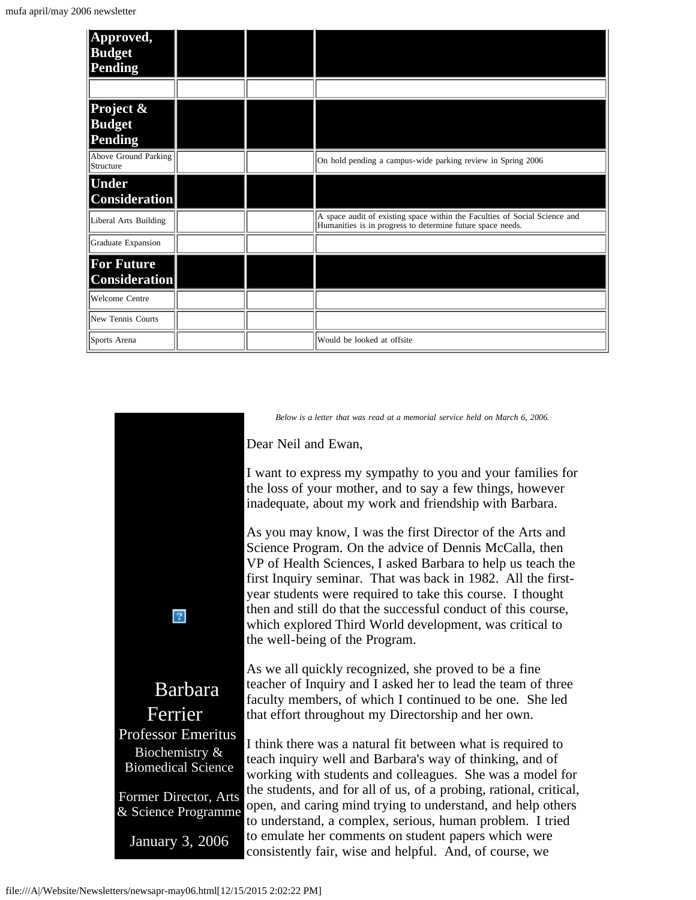| Approved,<br><b>Budget</b><br>Pending     |  |                                                                                                                                          |
|-------------------------------------------|--|------------------------------------------------------------------------------------------------------------------------------------------|
|                                           |  |                                                                                                                                          |
| Project &<br><b>Budget</b><br>Pending     |  |                                                                                                                                          |
| Above Ground Parking<br>Structure         |  | On hold pending a campus-wide parking review in Spring 2006                                                                              |
| <b>Under</b><br><b>Consideration</b>      |  |                                                                                                                                          |
| Liberal Arts Building                     |  | A space audit of existing space within the Faculties of Social Science and<br>Humanities is in progress to determine future space needs. |
| Graduate Expansion                        |  |                                                                                                                                          |
| <b>For Future</b><br><b>Consideration</b> |  |                                                                                                                                          |
| Welcome Centre                            |  |                                                                                                                                          |
| New Tennis Courts                         |  |                                                                                                                                          |
| Sports Arena                              |  | Would be looked at offsite                                                                                                               |

<span id="page-12-0"></span>

*Below is a letter that was read at a memorial service held on March 6, 2006.*

Dear Neil and Ewan,

I want to express my sympathy to you and your families for the loss of your mother, and to say a few things, however inadequate, about my work and friendship with Barbara.

As you may know, I was the first Director of the Arts and Science Program. On the advice of Dennis McCalla, then VP of Health Sciences, I asked Barbara to help us teach the first Inquiry seminar. That was back in 1982. All the firstyear students were required to take this course. I thought then and still do that the successful conduct of this course, which explored Third World development, was critical to the well-being of the Program.

As we all quickly recognized, she proved to be a fine teacher of Inquiry and I asked her to lead the team of three faculty members, of which I continued to be one. She led that effort throughout my Directorship and her own.

I think there was a natural fit between what is required to teach inquiry well and Barbara's way of thinking, and of working with students and colleagues. She was a model for the students, and for all of us, of a probing, rational, critical, open, and caring mind trying to understand, and help others to understand, a complex, serious, human problem. I tried to emulate her comments on student papers which were consistently fair, wise and helpful. And, of course, we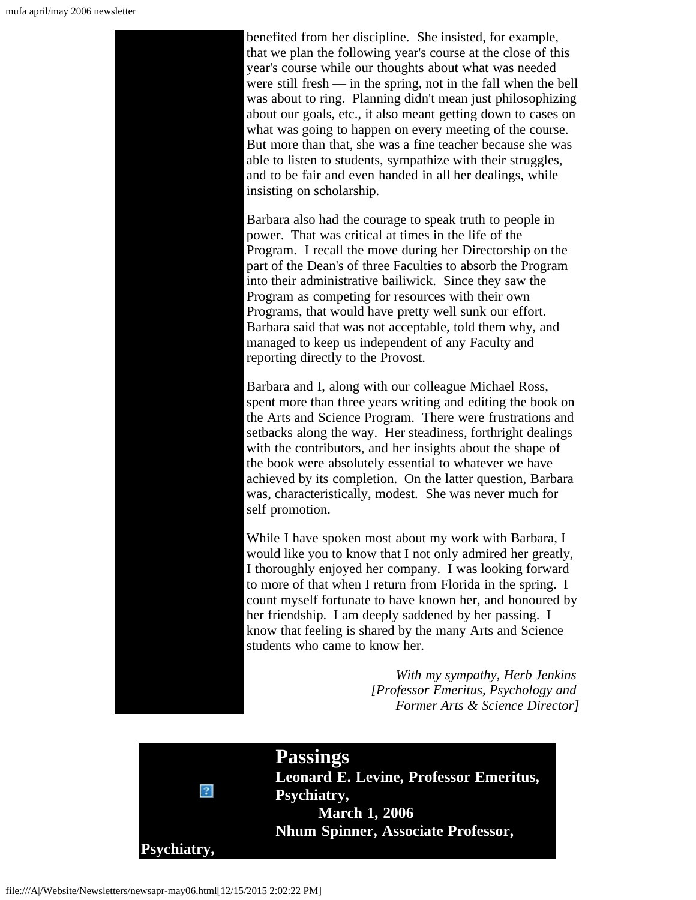

<span id="page-13-0"></span>

**Passings Leonard E. Levine, Professor Emeritus, Psychiatry, March 1, 2006 Nhum Spinner, Associate Professor,**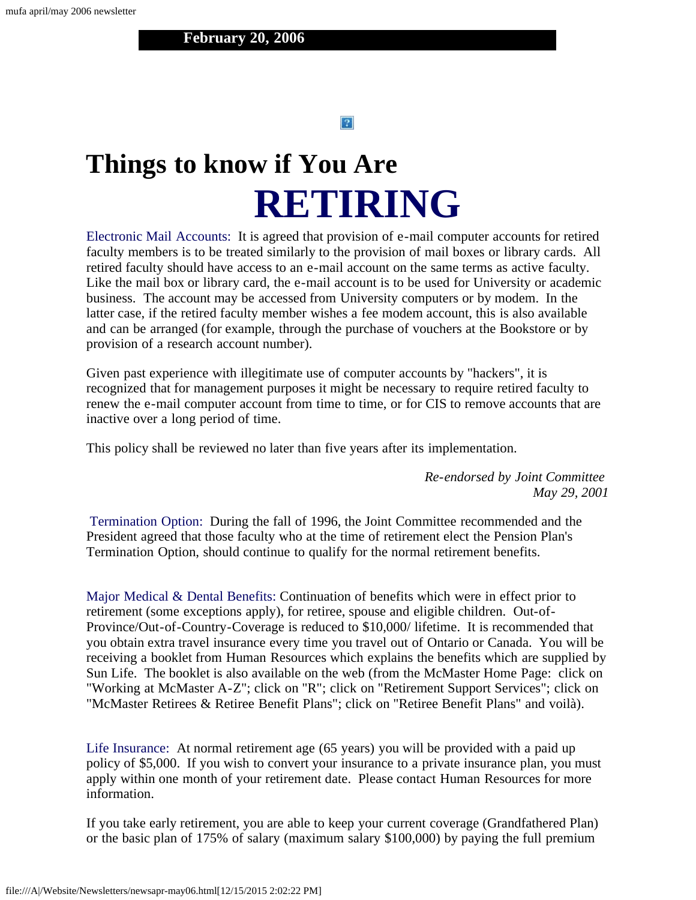#### $|2|$

# <span id="page-14-0"></span>**Things to know if You Are RETIRING**

Electronic Mail Accounts: It is agreed that provision of e-mail computer accounts for retired faculty members is to be treated similarly to the provision of mail boxes or library cards. All retired faculty should have access to an e-mail account on the same terms as active faculty. Like the mail box or library card, the e-mail account is to be used for University or academic business. The account may be accessed from University computers or by modem. In the latter case, if the retired faculty member wishes a fee modem account, this is also available and can be arranged (for example, through the purchase of vouchers at the Bookstore or by provision of a research account number).

Given past experience with illegitimate use of computer accounts by "hackers", it is recognized that for management purposes it might be necessary to require retired faculty to renew the e-mail computer account from time to time, or for CIS to remove accounts that are inactive over a long period of time.

This policy shall be reviewed no later than five years after its implementation.

*Re-endorsed by Joint Committee May 29, 2001*

Termination Option: During the fall of 1996, the Joint Committee recommended and the President agreed that those faculty who at the time of retirement elect the Pension Plan's Termination Option, should continue to qualify for the normal retirement benefits.

Major Medical & Dental Benefits: Continuation of benefits which were in effect prior to retirement (some exceptions apply), for retiree, spouse and eligible children. Out-of-Province/Out-of-Country-Coverage is reduced to \$10,000/ lifetime. It is recommended that you obtain extra travel insurance every time you travel out of Ontario or Canada. You will be receiving a booklet from Human Resources which explains the benefits which are supplied by Sun Life. The booklet is also available on the web (from the McMaster Home Page: click on "Working at McMaster A-Z"; click on "R"; click on "Retirement Support Services"; click on "McMaster Retirees & Retiree Benefit Plans"; click on "Retiree Benefit Plans" and voilà).

Life Insurance: At normal retirement age (65 years) you will be provided with a paid up policy of \$5,000. If you wish to convert your insurance to a private insurance plan, you must apply within one month of your retirement date. Please contact Human Resources for more information.

If you take early retirement, you are able to keep your current coverage (Grandfathered Plan) or the basic plan of 175% of salary (maximum salary \$100,000) by paying the full premium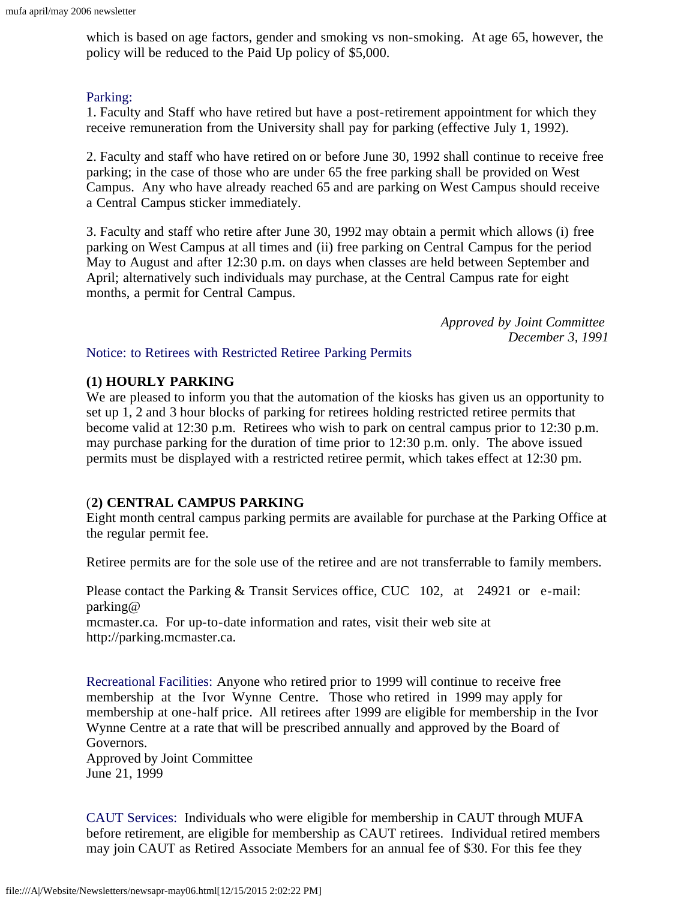which is based on age factors, gender and smoking vs non-smoking. At age 65, however, the policy will be reduced to the Paid Up policy of \$5,000.

### Parking:

1. Faculty and Staff who have retired but have a post-retirement appointment for which they receive remuneration from the University shall pay for parking (effective July 1, 1992).

2. Faculty and staff who have retired on or before June 30, 1992 shall continue to receive free parking; in the case of those who are under 65 the free parking shall be provided on West Campus. Any who have already reached 65 and are parking on West Campus should receive a Central Campus sticker immediately.

3. Faculty and staff who retire after June 30, 1992 may obtain a permit which allows (i) free parking on West Campus at all times and (ii) free parking on Central Campus for the period May to August and after 12:30 p.m. on days when classes are held between September and April; alternatively such individuals may purchase, at the Central Campus rate for eight months, a permit for Central Campus.

> *Approved by Joint Committee December 3, 1991*

### Notice: to Retirees with Restricted Retiree Parking Permits

### **(1) HOURLY PARKING**

We are pleased to inform you that the automation of the kiosks has given us an opportunity to set up 1, 2 and 3 hour blocks of parking for retirees holding restricted retiree permits that become valid at 12:30 p.m. Retirees who wish to park on central campus prior to 12:30 p.m. may purchase parking for the duration of time prior to 12:30 p.m. only. The above issued permits must be displayed with a restricted retiree permit, which takes effect at 12:30 pm.

### (**2) CENTRAL CAMPUS PARKING**

Eight month central campus parking permits are available for purchase at the Parking Office at the regular permit fee.

Retiree permits are for the sole use of the retiree and are not transferrable to family members.

Please contact the Parking & Transit Services office, CUC 102, at 24921 or e-mail: parking@ mcmaster.ca. For up-to-date information and rates, visit their web site at http://parking.mcmaster.ca.

Recreational Facilities: Anyone who retired prior to 1999 will continue to receive free membership at the Ivor Wynne Centre. Those who retired in 1999 may apply for membership at one-half price. All retirees after 1999 are eligible for membership in the Ivor Wynne Centre at a rate that will be prescribed annually and approved by the Board of Governors.

Approved by Joint Committee June 21, 1999

CAUT Services: Individuals who were eligible for membership in CAUT through MUFA before retirement, are eligible for membership as CAUT retirees. Individual retired members may join CAUT as Retired Associate Members for an annual fee of \$30. For this fee they